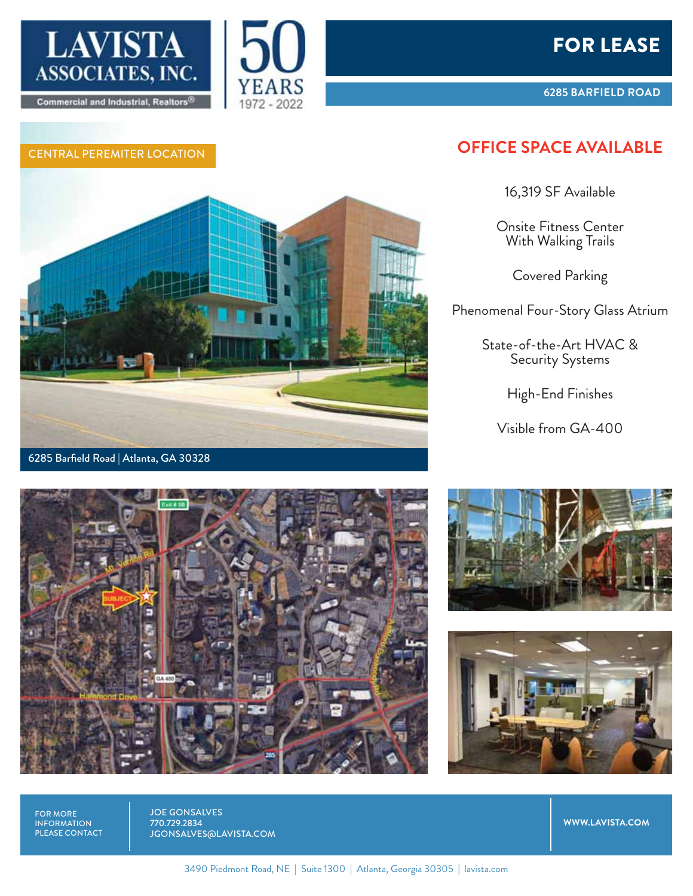







**6285 BARFIELD ROAD**

## CENTRAL PEREMITER LOCATION **OFFICE SPACE AVAILABLE**

16,319 SF Available

Onsite Fitness Center With Walking Trails

Covered Parking

Phenomenal Four-Story Glass Atrium

State-of-the-Art HVAC & Security Systems

High-End Finishes

Visible from GA-400







FOR MORE INFORMATION PLEASE CONTACT JOE GONSALVES 770.729.2834 JGONSALVES@LAVISTA.COM

**WWW.LAVISTA.COM**